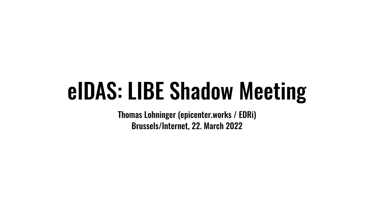### eIDAS: LIBE Shadow Meeting

Thomas Lohninger (epicenter.works / EDRi) Brussels/Internet, 22. March 2022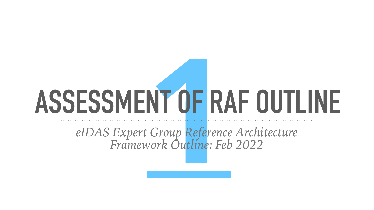# **1 ASSESSMENT OF RAF OUTLINE**

*eIDAS Expert Group Reference Architecture Framework Outline: Feb 2022*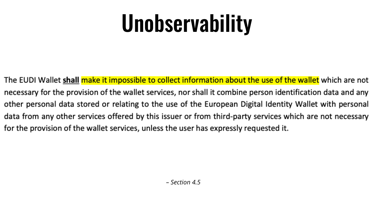## Unobservability

The EUDI Wallet shall make it impossible to collect information about the use of the wallet which are not necessary for the provision of the wallet services, nor shall it combine person identification data and any other personal data stored or relating to the use of the European Digital Identity Wallet with personal data from any other services offered by this issuer or from third-party services which are not necessary for the provision of the wallet services, unless the user has expressly requested it.

*– Section 4.5*

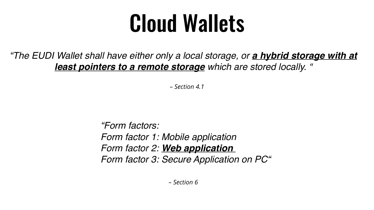### Cloud Wallets

### *"The EUDI Wallet shall have either only a local storage, or a hybrid storage with at least pointers to a remote storage which are stored locally. "*

*– Section 4.1*

*"Form factors: Form factor 1: Mobile application Form factor 2: Web application Form factor 3: Secure Application on PC"*

*– Section 6*

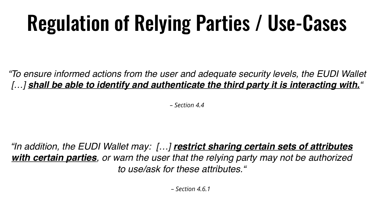### Regulation of Relying Parties / Use-Cases

### *"To ensure informed actions from the user and adequate security levels, the EUDI Wallet […] shall be able to identify and authenticate the third party it is interacting with."*

*– Section 4.4*

*"In addition, the EUDI Wallet may: […] restrict sharing certain sets of attributes with certain parties, or warn the user that the relying party may not be authorized to use/ask for these attributes."*

*– Section 4.6.1*

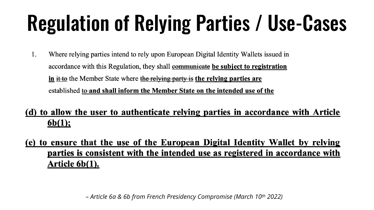### Regulation of Relying Parties / Use-Cases

1. Where relying parties intend to rely upon European Digital Identity Wallets issued in accordance with this Regulation, they shall **communicate** be subject to registration in it to the Member State where the relying party is the relying parties are established to and shall inform the Member State on the intended use of the

### (d) to allow the user to authenticate relying parties in accordance with Article  $6b(1);$

### (e) to ensure that the use of the European Digital Identity Wallet by relying parties is consistent with the intended use as registered in accordance with Article 6b(1).

*– Article 6a & 6b from French Presidency Compromise (March 10th 2022)*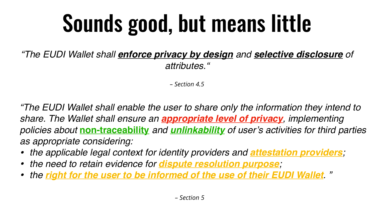## Sounds good, but means little

*"The EUDI Wallet shall enforce privacy by design and selective disclosure of attributes."*

*– Section 4.5*

*"The EUDI Wallet shall enable the user to share only the information they intend to share. The Wallet shall ensure an appropriate level of privacy, implementing policies about* **non-traceability** *and unlinkability of user's activities for third parties as appropriate considering:* 

*• the applicable legal context for identity providers and attestation providers; • the right for the user to be informed of the use of their EUDI Wallet. "*

- 
- *• the need to retain evidence for dispute resolution purpose;*
- 

*– Section 5*

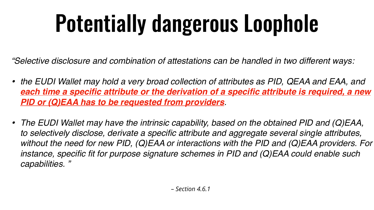## Potentially dangerous Loophole

*"Selective disclosure and combination of attestations can be handled in two different ways:* 

• the EUDI Wallet may hold a very broad collection of attributes as PID, QEAA and EAA, and *each time a specific attribute or the derivation of a specific attribute is required, a new* 

- *PID or (Q)EAA has to be requested from providers.*
- *capabilities. "*

*• The EUDI Wallet may have the intrinsic capability, based on the obtained PID and (Q)EAA, to selectively disclose, derivate a specific attribute and aggregate several single attributes, without the need for new PID, (Q)EAA or interactions with the PID and (Q)EAA providers. For instance, specific fit for purpose signature schemes in PID and (Q)EAA could enable such* 

*– Section 4.6.1*



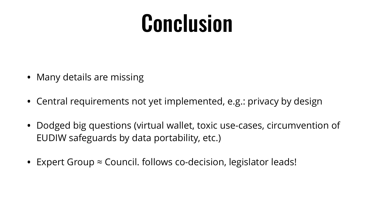### Conclusion

- Many details are missing
- Central requirements not yet implemented, e.g.: privacy by design
- Dodged big questions (virtual wallet, toxic use-cases, circumvention of EUDIW safeguards by data portability, etc.)
- Expert Group ≈ Council. follows co-decision, legislator leads!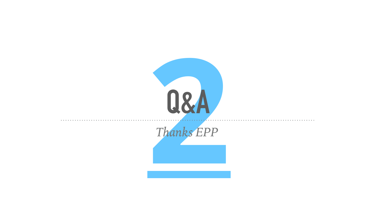

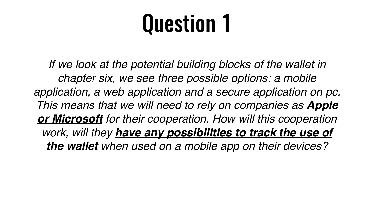## Question 1

If we look at the potential building blocks of the wallet in *chapter six, we see three possible options: a mobile application, a web application and a secure application on pc. This means that we will need to rely on companies as Apple or Microsoft for their cooperation. How will this cooperation work, will they have any possibilities to track the use of the wallet when used on a mobile app on their devices?*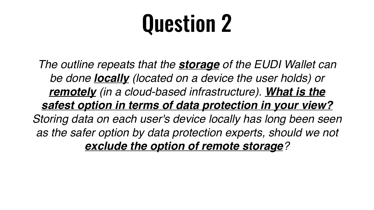## Question 2

*The outline repeats that the storage of the EUDI Wallet can be done locally (located on a device the user holds) or remotely (in a cloud-based infrastructure). What is the safest option in terms of data protection in your view? Storing data on each user's device locally has long been seen*  as the safer option by data protection experts, should we not *exclude the option of remote storage?*